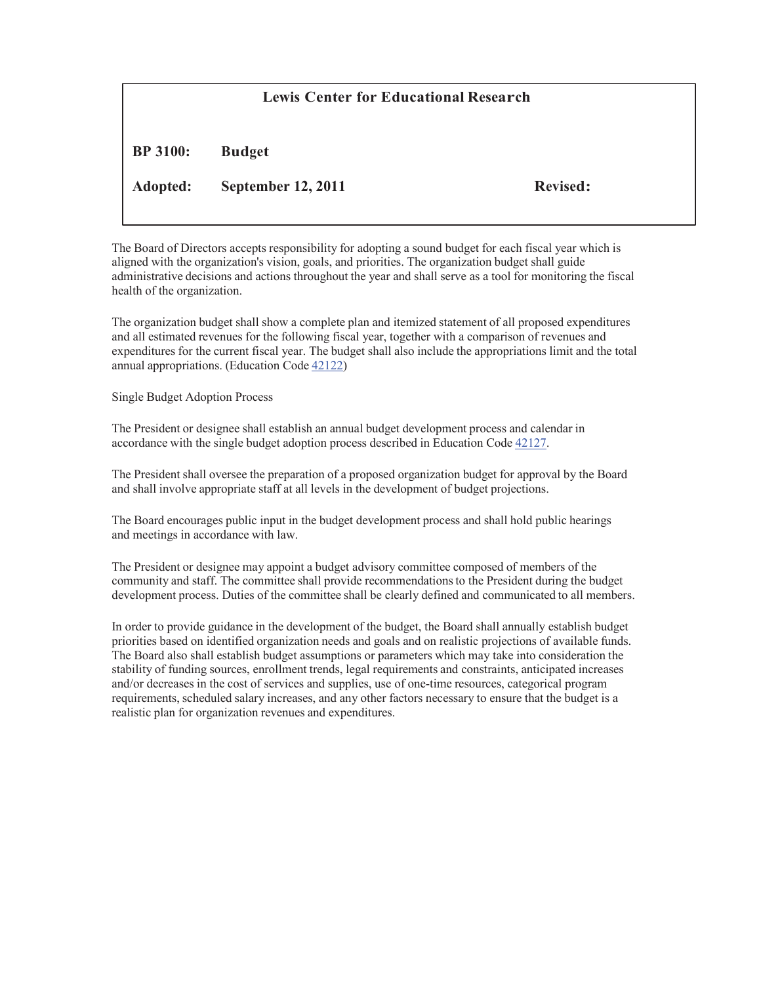## **Lewis Center for Educational Research**

**BP 3100: Budget**

**Adopted: September 12, 2011 Revised:**

The Board of Directors accepts responsibility for adopting a sound budget for each fiscal year which is aligned with the organization's vision, goals, and priorities. The organization budget shall guide administrative decisions and actions throughout the year and shall serve as a tool for monitoring the fiscal health of the organization.

The organization budget shall show a complete plan and itemized statement of all proposed expenditures and all estimated revenues for the following fiscal year, together with a comparison of revenues and expenditures for the current fiscal year. The budget shall also include the appropriations limit and the total annual appropriations. (Education Code 42122)

Single Budget Adoption Process

The President or designee shall establish an annual budget development process and calendar in accordance with the single budget adoption process described in Education Code 42127.

The President shall oversee the preparation of a proposed organization budget for approval by the Board and shall involve appropriate staff at all levels in the development of budget projections.

The Board encourages public input in the budget development process and shall hold public hearings and meetings in accordance with law.

The President or designee may appoint a budget advisory committee composed of members of the community and staff. The committee shall provide recommendationsto the President during the budget development process. Duties of the committee shall be clearly defined and communicated to all members.

In order to provide guidance in the development of the budget, the Board shall annually establish budget priorities based on identified organization needs and goals and on realistic projections of available funds. The Board also shall establish budget assumptions or parameters which may take into consideration the stability of funding sources, enrollment trends, legal requirements and constraints, anticipated increases and/or decreases in the cost of services and supplies, use of one-time resources, categorical program requirements, scheduled salary increases, and any other factors necessary to ensure that the budget is a realistic plan for organization revenues and expenditures.